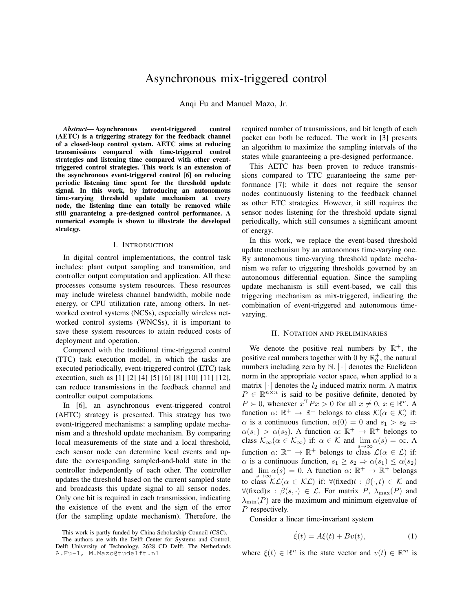# Asynchronous mix-triggered control

Anqi Fu and Manuel Mazo, Jr.

*Abstract*— Asynchronous event-triggered control (AETC) is a triggering strategy for the feedback channel of a closed-loop control system. AETC aims at reducing transmissions compared with time-triggered control strategies and listening time compared with other eventtriggered control strategies. This work is an extension of the asynchronous event-triggered control [6] on reducing periodic listening time spent for the threshold update signal. In this work, by introducing an autonomous time-varying threshold update mechanism at every node, the listening time can totally be removed while still guaranteing a pre-designed control performance. A numerical example is shown to illustrate the developed strategy.

#### I. INTRODUCTION

In digital control implementations, the control task includes: plant output sampling and transmition, and controller output computation and application. All these processes consume system resources. These resources may include wireless channel bandwidth, mobile node energy, or CPU utilization rate, among others. In networked control systems (NCSs), especially wireless networked control systems (WNCSs), it is important to save these system resources to attain reduced costs of deployment and operation.

Compared with the traditional time-triggered control (TTC) task execution model, in which the tasks are executed periodically, event-triggered control (ETC) task execution, such as [1] [2] [4] [5] [6] [8] [10] [11] [12], can reduce transmissions in the feedback channel and controller output computations.

In [6], an asynchronous event-triggered control (AETC) strategy is presented. This strategy has two event-triggered mechanisms: a sampling update mechanism and a threshold update mechanism. By comparing local measurements of the state and a local threshold, each sensor node can determine local events and update the corresponding sampled-and-hold state in the controller independently of each other. The controller updates the threshold based on the current sampled state and broadcasts this update signal to all sensor nodes. Only one bit is required in each transmission, indicating the existence of the event and the sign of the error (for the sampling update mechanism). Therefore, the

This work is partly funded by China Scholarship Council (CSC). The authors are with the Delft Center for Systems and Control, Delft University of Technology, 2628 CD Delft, The Netherlands A.Fu-1, M.Mazo@tudelft.nl

required number of transmissions, and bit length of each packet can both be reduced. The work in [3] presents an algorithm to maximize the sampling intervals of the states while guaranteeing a pre-designed performance.

This AETC has been proven to reduce transmissions compared to TTC guaranteeing the same performance [7]; while it does not require the sensor nodes continuously listening to the feedback channel as other ETC strategies. However, it still requires the sensor nodes listening for the threshold update signal periodically, which still consumes a significant amount of energy.

In this work, we replace the event-based threshold update mechanism by an autonomous time-varying one. By autonomous time-varying threshold update mechanism we refer to triggering thresholds governed by an autonomous differential equation. Since the sampling update mechanism is still event-based, we call this triggering mechanism as mix-triggered, indicating the combination of event-triggered and autonomous timevarying.

#### II. NOTATION AND PRELIMINARIES

We denote the positive real numbers by  $\mathbb{R}^+$ , the positive real numbers together with 0 by  $\mathbb{R}^+_0$ , the natural numbers including zero by  $\mathbb{N}$ .  $\lvert \cdot \rvert$  denotes the Euclidean norm in the appropriate vector space, when applied to a matrix  $|\cdot|$  denotes the  $l_2$  induced matrix norm. A matrix  $P \in \mathbb{R}^{n \times n}$  is said to be positive definite, denoted by  $P \succ 0$ , whenever  $x^{\mathrm{T}} P x > 0$  for all  $x \neq 0$ ,  $x \in \mathbb{R}^n$ . A function  $\alpha: \mathbb{R}^+ \to \mathbb{R}^+$  belongs to class  $\mathcal{K}(\alpha \in \mathcal{K})$  if:  $\alpha$  is a continuous function,  $\alpha(0) = 0$  and  $s_1 > s_2 \Rightarrow$  $\alpha(s_1) > \alpha(s_2)$ . A function  $\alpha: \mathbb{R}^+ \to \mathbb{R}^+$  belongs to class  $\mathcal{K}_{\infty}(\alpha \in \mathcal{K}_{\infty})$  if:  $\alpha \in \mathcal{K}$  and  $\lim_{s \to \infty} \alpha(s) = \infty$ . A function  $\alpha: \mathbb{R}^+ \to \mathbb{R}^+$  belongs to class  $\mathcal{L}(\alpha \in \mathcal{L})$  if:  $\alpha$  is a continuous function,  $s_1 \geq s_2 \Rightarrow \alpha(s_1) \leq \alpha(s_2)$ and  $\lim_{s\to\infty} \alpha(s) = 0$ . A function  $\alpha$ :  $\mathbb{R}^+ \to \mathbb{R}^+$  belongs to class  $\mathcal{KL}(\alpha \in \mathcal{KL})$  if:  $\forall$ (fixed) $t : \beta(\cdot, t) \in \mathcal{K}$  and  $\forall$ (fixed)s :  $\beta(s, \cdot) \in \mathcal{L}$ . For matrix P,  $\lambda_{\max}(P)$  and  $\lambda_{\min}(P)$  are the maximum and minimum eigenvalue of P respectively.

Consider a linear time-invariant system

$$
\dot{\xi}(t) = A\xi(t) + Bv(t),\tag{1}
$$

where  $\xi(t) \in \mathbb{R}^n$  is the state vector and  $v(t) \in \mathbb{R}^m$  is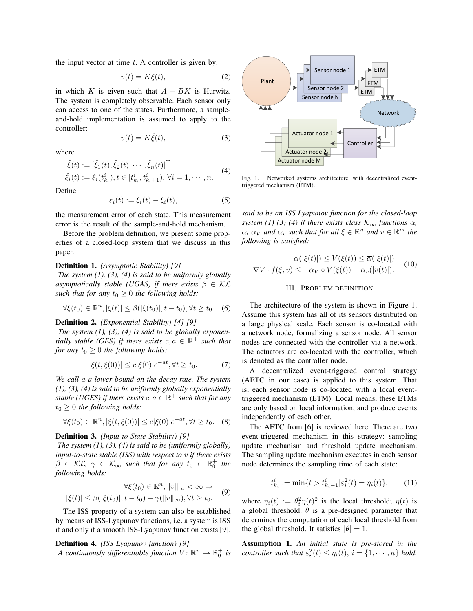the input vector at time  $t$ . A controller is given by:

$$
v(t) = K\xi(t),\tag{2}
$$

in which K is given such that  $A + BK$  is Hurwitz. The system is completely observable. Each sensor only can access to one of the states. Furthermore, a sampleand-hold implementation is assumed to apply to the controller:

$$
v(t) = K\hat{\xi}(t),\tag{3}
$$

where

$$
\hat{\xi}(t) := [\hat{\xi}_1(t), \hat{\xi}_2(t), \cdots, \hat{\xi}_n(t)]^{\mathrm{T}} \n\hat{\xi}_i(t) := \xi_i(t_{k_i}^i), t \in [t_{k_i}^i, t_{k_i+1}^i), \forall i = 1, \cdots, n.
$$
\n(4)

Define

$$
\varepsilon_i(t) := \hat{\xi}_i(t) - \xi_i(t),\tag{5}
$$

the measurement error of each state. This measurement error is the result of the sample-and-hold mechanism.

Before the problem definition, we present some properties of a closed-loop system that we discuss in this paper.

#### Definition 1. *(Asymptotic Stability) [9]*

*The system (1), (3), (4) is said to be uniformly globally asymptotically stable (UGAS) if there exists*  $\beta \in \mathcal{KL}$ *such that for any*  $t_0 \geq 0$  *the following holds:* 

$$
\forall \xi(t_0) \in \mathbb{R}^n, |\xi(t)| \le \beta(|\xi(t_0)|, t - t_0), \forall t \ge t_0. \quad (6)
$$

# Definition 2. *(Exponential Stability) [4] [9]*

*The system (1), (3), (4) is said to be globally exponentially stable (GES) if there exists*  $c, a \in \mathbb{R}^+$  *such that for any*  $t_0 \geq 0$  *the following holds:* 

$$
|\xi(t,\xi(0))| \le c|\xi(0)|e^{-at}, \forall t \ge t_0. \tag{7}
$$

*We call* a *a lower bound on the decay rate. The system (1), (3), (4) is said to be uniformly globally exponentially stable (UGES) if there exists*  $c, a \in \mathbb{R}^+$  *such that for any*  $t_0 \geq 0$  *the following holds:* 

$$
\forall \xi(t_0) \in \mathbb{R}^n, |\xi(t, \xi(0))| \le c|\xi(0)|e^{-at}, \forall t \ge t_0. \quad (8)
$$

## Definition 3. *(Input-to-State Stability) [9]*

*The system (1), (3), (4) is said to be (uniformly globally) input-to-state stable (ISS) with respect to* v *if there exists*  $\beta \in \mathcal{KL}, \gamma \in \mathcal{K}_{\infty}$  such that for any  $t_0 \in \mathbb{R}_0^+$  the *following holds:*

$$
\forall \xi(t_0) \in \mathbb{R}^n, ||v||_{\infty} < \infty \Rightarrow
$$
  

$$
|\xi(t)| \leq \beta(|\xi(t_0)|, t - t_0) + \gamma(||v||_{\infty}), \forall t \geq t_0.
$$
 (9)

The ISS property of a system can also be established by means of ISS-Lyapunov functions, i.e. a system is ISS if and only if a smooth ISS-Lyapunov function exists [9].

Definition 4. *(ISS Lyapunov function) [9] A continuously differentiable function*  $V: \mathbb{R}^n \to \mathbb{R}_0^+$  is



Fig. 1. Networked systems architecture, with decentralized eventtriggered mechanism (ETM).

*said to be an ISS Lyapunov function for the closed-loop system (1) (3) (4) if there exists class*  $\mathcal{K}_{\infty}$  *functions*  $\alpha$ *,*  $\overline{\alpha}$ ,  $\alpha_V$  *and*  $\alpha_v$  *such that for all*  $\xi \in \mathbb{R}^n$  *and*  $v \in \mathbb{R}^m$  *the following is satisfied:*

$$
\underline{\alpha}(|\xi(t)|) \le V(\xi(t)) \le \overline{\alpha}(|\xi(t)|)
$$
  
\n
$$
\nabla V \cdot f(\xi, v) \le -\alpha_V \circ V(\xi(t)) + \alpha_v(|v(t)|). \tag{10}
$$

## III. PROBLEM DEFINITION

The architecture of the system is shown in Figure 1. Assume this system has all of its sensors distributed on a large physical scale. Each sensor is co-located with a network node, formalizing a sensor node. All sensor nodes are connected with the controller via a network. The actuators are co-located with the controller, which is denoted as the controller node.

A decentralized event-triggered control strategy (AETC in our case) is applied to this system. That is, each sensor node is co-located with a local eventtriggered mechanism (ETM). Local means, these ETMs are only based on local information, and produce events independently of each other.

The AETC from [6] is reviewed here. There are two event-triggered mechanism in this strategy: sampling update mechanism and threshold update mechanism. The sampling update mechanism executes in each sensor node determines the sampling time of each state:

$$
t_{k_i}^i := \min\{t > t_{k_i-1}^i | \varepsilon_i^2(t) = \eta_i(t)\},\qquad(11)
$$

where  $\eta_i(t) := \theta_i^2 \eta(t)^2$  is the local threshold;  $\eta(t)$  is a global threshold.  $\theta$  is a pre-designed parameter that determines the computation of each local threshold from the global threshold. It satisfies  $|\theta| = 1$ .

Assumption 1. *An initial state is pre-stored in the controller such that*  $\varepsilon_i^2(t) \leq \eta_i(t)$ ,  $i = \{1, \dots, n\}$  *hold.*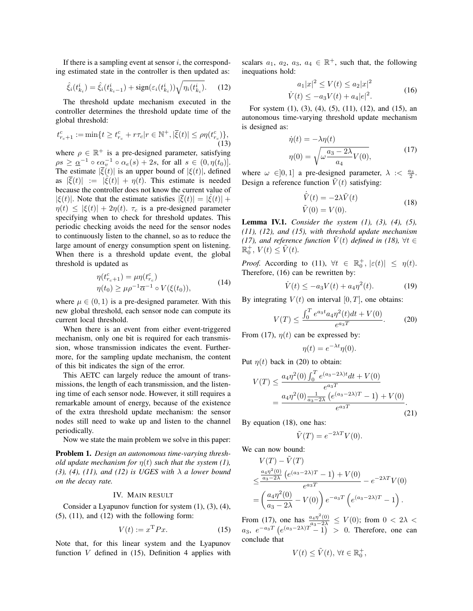If there is a sampling event at sensor  $i$ , the corresponding estimated state in the controller is then updated as:

$$
\hat{\xi}_i(t_{k_i}^i) = \hat{\xi}_i(t_{k_i-1}^i) + \text{sign}(\varepsilon_i(t_{k_i}^i))\sqrt{\eta_i(t_{k_i}^i)}.
$$
 (12)

The threshold update mechanism executed in the controller determines the threshold update time of the global threshold:

$$
t_{r_c+1}^c := \min\{t \ge t_{r_c}^c + r\tau_c | r \in \mathbb{N}^+, |\overline{\xi}(t)| \le \rho \eta(t_{r_c}^c)\},\tag{13}
$$

where  $\rho \in \mathbb{R}^+$  is a pre-designed parameter, satisfying  $\rho s \geq \underline{\alpha}^{-1} \circ \epsilon \underline{\alpha}_v^{-1} \circ \alpha_e(s) + 2s$ , for all  $s \in (0, \eta(t_0)].$ The estimate  $|\overline{\xi}(t)|$  is an upper bound of  $|\xi(t)|$ , defined as  $|\bar{\xi}(t)| := |\dot{\xi}(t)| + \eta(t)$ . This estimate is needed because the controller does not know the current value of  $|\xi(t)|$ . Note that the estimate satisfies  $|\overline{\xi}(t)| = |\hat{\xi}(t)| +$  $\eta(t) \leq |\xi(t)| + 2\eta(t)$ .  $\tau_c$  is a pre-designed parameter specifying when to check for threshold updates. This periodic checking avoids the need for the sensor nodes to continuously listen to the channel, so as to reduce the large amount of energy consumption spent on listening. When there is a threshold update event, the global threshold is updated as

$$
\eta(t_{r_c+1}^c) = \mu \eta(t_{r_c}^c) \n\eta(t_0) \ge \mu \rho^{-1} \overline{\alpha}^{-1} \circ V(\xi(t_0)),
$$
\n(14)

where  $\mu \in (0, 1)$  is a pre-designed parameter. With this new global threshold, each sensor node can compute its current local threshold.

When there is an event from either event-triggered mechanism, only one bit is required for each transmission, whose transmission indicates the event. Furthermore, for the sampling update mechanism, the content of this bit indicates the sign of the error.

This AETC can largely reduce the amount of transmissions, the length of each transmission, and the listening time of each sensor node. However, it still requires a remarkable amount of energy, because of the existence of the extra threshold update mechanism: the sensor nodes still need to wake up and listen to the channel periodically.

Now we state the main problem we solve in this paper:

Problem 1. *Design an autonomous time-varying threshold update mechanism for*  $\eta(t)$  *such that the system (1), (3), (4), (11), and (12) is UGES with* λ *a lower bound on the decay rate.*

## IV. MAIN RESULT

Consider a Lyapunov function for system (1), (3), (4),  $(5)$ ,  $(11)$ , and  $(12)$  with the following form:

$$
V(t) := x^{\mathrm{T}} P x. \tag{15}
$$

Note that, for this linear system and the Lyapunov function  $V$  defined in (15), Definition 4 applies with

scalars  $a_1, a_2, a_3, a_4 \in \mathbb{R}^+$ , such that, the following inequations hold:

$$
a_1|x|^2 \le V(t) \le a_2|x|^2
$$
  
 
$$
\dot{V}(t) \le -a_3V(t) + a_4|e|^2.
$$
 (16)

For system (1), (3), (4), (5), (11), (12), and (15), an autonomous time-varying threshold update mechanism is designed as:

$$
\dot{\eta}(t) = -\lambda \eta(t)
$$

$$
\eta(0) = \sqrt{\omega \frac{a_3 - 2\lambda}{a_4} V(0)},
$$
(17)

where  $\omega \in ]0,1]$  a pre-designed parameter,  $\lambda \leq \frac{a_3}{2}$ . Design a reference function  $\tilde{V}(t)$  satisfying:

$$
\dot{\tilde{V}}(t) = -2\lambda \tilde{V}(t)
$$
\n
$$
\tilde{V}(0) = V(0).
$$
\n(18)

Lemma IV.1. *Consider the system (1), (3), (4), (5), (11), (12), and (15), with threshold update mechanism (17), and reference function*  $\tilde{V}(t)$  *defined in (18),*  $\forall t \in$  $\mathbb{R}^+_0$ ,  $V(t) \leq \tilde{V}(t)$ .

*Proof.* According to (11),  $\forall t \in \mathbb{R}_0^+$ ,  $|\varepsilon(t)| \leq \eta(t)$ . Therefore, (16) can be rewritten by:

$$
\dot{V}(t) \le -a_3 V(t) + a_4 \eta^2(t). \tag{19}
$$

By integrating  $V(t)$  on interval [0, T], one obtains:

$$
V(T) \le \frac{\int_0^T e^{a_3 t} a_4 \eta^2(t) dt + V(0)}{e^{a_3 T}}.
$$
 (20)

From (17),  $\eta(t)$  can be expressed by:

$$
\eta(t) = e^{-\lambda t} \eta(0).
$$

Put  $\eta(t)$  back in (20) to obtain:

$$
V(T) \le \frac{a_4 \eta^2(0) \int_0^T e^{(a_3 - 2\lambda)t} dt + V(0)}{e^{a_3 T}}
$$
  
= 
$$
\frac{a_4 \eta^2(0) \frac{1}{a_3 - 2\lambda} \left(e^{(a_3 - 2\lambda)T} - 1\right) + V(0)}{e^{a_3 T}}.
$$
 (21)

By equation (18), one has:

$$
\tilde{V}(T)=e^{-2\lambda T}V(0).
$$

We can now bound:

$$
V(T) - \tilde{V}(T)
$$
  
\n
$$
\leq \frac{\frac{a_4 \eta^2(0)}{a_3 - 2\lambda} (e^{(a_3 - 2\lambda)T} - 1) + V(0)}{e^{a_3 T}} - e^{-2\lambda T} V(0)
$$
  
\n
$$
= \left(\frac{a_4 \eta^2(0)}{a_3 - 2\lambda} - V(0)\right) e^{-a_3 T} \left(e^{(a_3 - 2\lambda)T} - 1\right).
$$

From (17), one has  $\frac{a_4\eta^2(0)}{a_3-2\lambda} \le V(0)$ ; from  $0 < 2\lambda <$  $a_3$ ,  $e^{-a_3T}$   $(e^{(a_3-2\lambda)T}-1)$  > 0. Therefore, one can conclude that

$$
V(t) \leq \tilde{V}(t), \,\forall t \in \mathbb{R}_0^+,
$$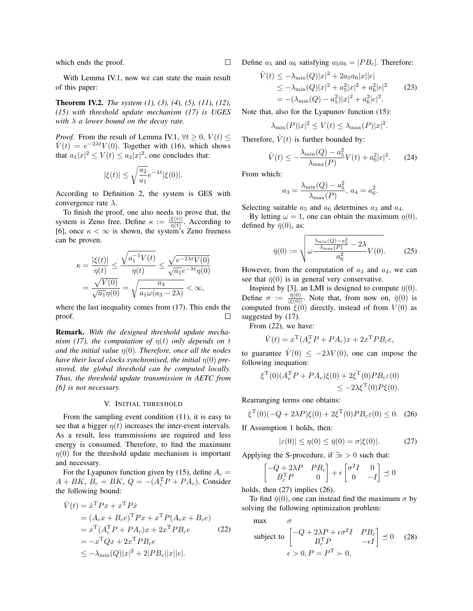which ends the proof.

With Lemma IV.1, now we can state the main result of this paper:

Theorem IV.2. *The system (1), (3), (4), (5), (11), (12), (15) with threshold update mechanism (17) is UGES with* λ *a lower bound on the decay rate.*

*Proof.* From the result of Lemma IV.1,  $\forall t \geq 0$ ,  $V(t) \leq$  $\tilde{V}(t) = e^{-2\lambda t} V(0)$ . Together with (16), which shows that  $a_1|x|^2 \le V(t) \le a_2|x|^2$ , one concludes that:

$$
|\xi(t)|\leq \sqrt{\frac{a_2}{a_1}}e^{-\lambda t}|\xi(0)|.
$$

According to Definition 2, the system is GES with convergence rate  $\lambda$ .

To finish the proof, one also needs to prove that, the system is Zeno free. Define  $\kappa := \frac{|\xi(t)|}{n(t)}$  $\frac{\xi(t)}{\eta(t)}$ . According to [6], once  $\kappa < \infty$  is shown, the system's Zeno freeness can be proven.

$$
\kappa = \frac{|\xi(t)|}{\eta(t)} \le \frac{\sqrt{a_1^{-1}V(t)}}{\eta(t)} \le \frac{\sqrt{e^{-2\lambda t}V(0)}}{\sqrt{a_1}e^{-\lambda t}\eta(0)}
$$

$$
= \frac{\sqrt{V(0)}}{\sqrt{a_1}\eta(0)} = \sqrt{\frac{a_4}{a_1\omega(a_3 - 2\lambda)}} < \infty,
$$

where the last inequality comes from (17). This ends the proof. П

Remark. *With the designed threshold update mechanism (17), the computation of*  $\eta(t)$  *only depends on t and the initial value* η(0)*. Therefore, once all the nodes have their local clocks synchronised, the initial*  $\eta(0)$  *prestored, the global threshold can be computed locally. Thus, the threshold update transmission in AETC from [6] is not necessary.*

#### V. INITIAL THRESHOLD

From the sampling event condition (11), it is easy to see that a bigger  $\eta(t)$  increases the inter-event intervals. As a result, less transmissions are required and less energy is consumed. Therefore, to find the maximum  $\eta(0)$  for the threshold update mechanism is important and necessary.

For the Lyapunov function given by (15), define  $A_c =$  $A + BK$ ,  $B_c = BK$ ,  $Q = -(A_c^T P + P A_c)$ . Consider the following bound:

$$
\dot{V}(t) = \dot{x}^{\mathrm{T}} P x + x^{\mathrm{T}} P \dot{x} \n= (A_c x + B_c e)^{\mathrm{T}} P x + x^{\mathrm{T}} P (A_c x + B_c e) \n= x^{\mathrm{T}} (A_c^{\mathrm{T}} P + P A_c) x + 2x^{\mathrm{T}} P B_c e \n= -x^{\mathrm{T}} Q x + 2x^{\mathrm{T}} P B_c e \n\le -\lambda_{\min}(Q)|x|^2 + 2|P B_c||x||e|.
$$
\n(22)

Define  $a_5$  and  $a_6$  satisfying  $a_5a_6 = |PB_c|$ . Therefore:

$$
\dot{V}(t) \le -\lambda_{\min}(Q)|x|^2 + 2a_5a_6|x||e|
$$
  
\n
$$
\le -\lambda_{\min}(Q)|x|^2 + a_5^2|x|^2 + a_6^2|e|^2
$$
  
\n
$$
= -(\lambda_{\min}(Q) - a_5^2)|x|^2 + a_6^2|e|^2.
$$
\n(23)

Note that, also for the Lyapunov function (15):

$$
\lambda_{\min}(P)|x|^2 \le V(t) \le \lambda_{\max}(P)|x|^2.
$$

Therefore,  $V(t)$  is further bounded by:

$$
\dot{V}(t) \le -\frac{\lambda_{\min}(Q) - a_5^2}{\lambda_{\max}(P)} V(t) + a_6^2 |e|^2.
$$
 (24)

From which:

$$
a_3 = \frac{\lambda_{\min}(Q) - a_5^2}{\lambda_{\max}(P)}, \ a_4 = a_6^2.
$$

Selecting suitable  $a_5$  and  $a_6$  determines  $a_3$  and  $a_4$ .

By letting  $\omega = 1$ , one can obtain the maximum  $\eta(0)$ , defined by  $\bar{\eta}(0)$ , as:

$$
\bar{\eta}(0) := \sqrt{\omega \frac{\frac{\lambda_{\min}(Q) - a_5^2}{\lambda_{\max}(P)} - 2\lambda}{a_6^2} V(0)}.
$$
 (25)

However, from the computation of  $a_3$  and  $a_4$ , we can see that  $\bar{\eta}(0)$  is in general very conservative.

Inspired by [3], an LMI is designed to compute  $\bar{\eta}(0)$ . Define  $\sigma := \frac{\bar{\eta}(0)}{|\varepsilon(0)|}$  $\frac{\eta(0)}{|\xi(0)|}$ . Note that, from now on,  $\bar{\eta}(0)$  is computed from  $\xi(0)$  directly, instead of from  $V(0)$  as suggested by  $(17)$ .

From (22), we have:

$$
\dot{V}(t) = x^{\mathrm{T}}(A_c^{\mathrm{T}}P + PA_c)x + 2x^{\mathrm{T}}PB_ce,
$$

to guarantee  $V(0) \leq -2\lambda V(0)$ , one can impose the following inequation:

$$
\xi^{\mathrm{T}}(0)(A_c^{\mathrm{T}} P + P A_c) \xi(0) + 2\xi^{\mathrm{T}}(0) P B_c \varepsilon(0) \leq -2\lambda \xi^{\mathrm{T}}(0) P \xi(0).
$$

Rearranging terms one obtains:

$$
\xi^{T}(0)(-Q+2\lambda P)\xi(0)+2\xi^{T}(0)PB_{c}\varepsilon(0)\leq 0. \quad (26)
$$

If Assumption 1 holds, then:

$$
|\varepsilon(0)| \le \eta(0) \le \bar{\eta}(0) = \sigma |\xi(0)|. \tag{27}
$$

Applying the S-procedure, if  $\exists \epsilon > 0$  such that:

$$
\begin{bmatrix} -Q + 2\lambda P & PB_c \\ B_c^{\mathrm{T}} P & 0 \end{bmatrix} + \epsilon \begin{bmatrix} \sigma^2 I & 0 \\ 0 & -I \end{bmatrix} \preceq 0
$$

holds, then  $(27)$  implies  $(26)$ .

To find  $\bar{\eta}(0)$ , one can instead find the maximum  $\sigma$  by solving the following optimization problem:

max  $\sigma$ 

subject to 
$$
\begin{bmatrix} -Q + 2\lambda P + \epsilon \sigma^2 I & PB_c \\ B_c^{\mathrm{T}} P & -\epsilon I \end{bmatrix} \preceq 0 \quad (28)
$$

$$
\epsilon > 0, P = P^{\mathrm{T}} \succ 0,
$$

П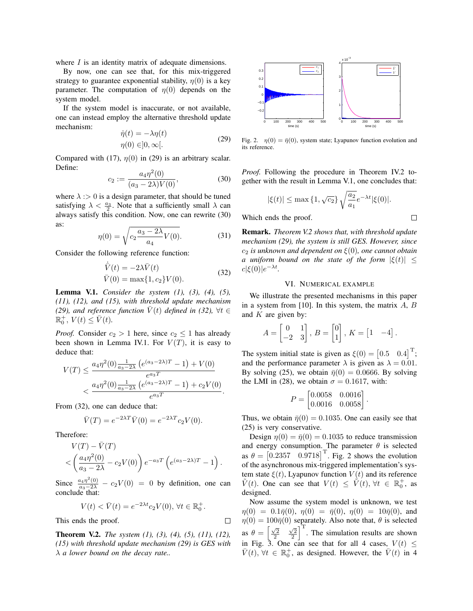where  $I$  is an identity matrix of adequate dimensions.

By now, one can see that, for this mix-triggered strategy to guarantee exponential stability,  $\eta(0)$  is a key parameter. The computation of  $\eta(0)$  depends on the system model.

If the system model is inaccurate, or not available, one can instead employ the alternative threshold update mechanism:  $\cdot$ (t)  $\cdot$  +  $\cdot$ 

$$
\eta(t) = -\lambda \eta(t) \n\eta(0) \in ]0, \infty[.
$$
\n(29)

Compared with (17),  $\eta(0)$  in (29) is an arbitrary scalar. Define:

$$
c_2 := \frac{a_4 \eta^2(0)}{(a_3 - 2\lambda)V(0)},\tag{30}
$$

where  $\lambda$  : > 0 is a design parameter, that should be tuned satisfying  $\lambda < \frac{a_3}{2}$ . Note that a sufficiently small  $\lambda$  can always satisfy this condition. Now, one can rewrite (30) as:

$$
\eta(0) = \sqrt{c_2 \frac{a_3 - 2\lambda}{a_4} V(0)}.
$$
\n(31)

Consider the following reference function:

$$
\dot{\bar{V}}(t) = -2\lambda \bar{V}(t) \n\bar{V}(0) = \max\{1, c_2\} V(0).
$$
\n(32)

Lemma V.1. *Consider the system (1), (3), (4), (5), (11), (12), and (15), with threshold update mechanism (29), and reference function*  $\overline{V}(t)$  *defined in (32),*  $\forall t \in$  $\mathbb{R}_0^+$ ,  $V(t) \leq \bar{V}(t)$ .

*Proof.* Consider  $c_2 > 1$  here, since  $c_2 \leq 1$  has already been shown in Lemma IV.1. For  $V(T)$ , it is easy to deduce that:

$$
V(T) \le \frac{a_4 \eta^2(0) \frac{1}{a_3 - 2\lambda} \left(e^{(a_3 - 2\lambda)T} - 1\right) + V(0)}{e^{a_3 T}}
$$
  
< 
$$
< \frac{a_4 \eta^2(0) \frac{1}{a_3 - 2\lambda} \left(e^{(a_3 - 2\lambda)T} - 1\right) + c_2 V(0)}{e^{a_3 T}}.
$$

From (32), one can deduce that:

$$
\overline{V}(T) = e^{-2\lambda T} \overline{V}(0) = e^{-2\lambda T} c_2 V(0).
$$

Therefore:

$$
V(T) - \bar{V}(T)
$$
  

$$
< \left(\frac{a_4 \eta^2(0)}{a_3 - 2\lambda} - c_2 V(0)\right) e^{-a_3 T} \left(e^{(a_3 - 2\lambda)T} - 1\right).
$$

Since  $\frac{a_4\eta^2(0)}{a_3-2\lambda} - c_2V(0) = 0$  by definition, one can conclude that:

$$
V(t) < \bar{V}(t) = e^{-2\lambda t} c_2 V(0), \,\forall t \in \mathbb{R}_0^+.
$$

 $\Box$ 

This ends the proof.

Theorem V.2. *The system (1), (3), (4), (5), (11), (12), (15) with threshold update mechanism (29) is GES with* λ *a lower bound on the decay rate..*



Fig. 2.  $\eta(0) = \overline{\eta}(0)$ , system state; Lyapunov function evolution and its reference.

*Proof.* Following the procedure in Theorem IV.2 together with the result in Lemma V.1, one concludes that:

$$
|\xi(t)| \leq \max\left\{1, \sqrt{c_2}\right\} \sqrt{\frac{a_2}{a_1}} e^{-\lambda t} |\xi(0)|.
$$

 $\Box$ 

Which ends the proof.

Remark. *Theorem V.2 shows that, with threshold update mechanism (29), the system is still GES. However, since* c<sup>2</sup> *is unknown and dependent on* ξ(0)*, one cannot obtain a* uniform bound on the state of the form  $|\xi(t)|$  <  $c|\xi(0)|e^{-\lambda t}$ .

# VI. NUMERICAL EXAMPLE

We illustrate the presented mechanisms in this paper in a system from [10]. In this system, the matrix  $A, B$ and  $K$  are given by:

$$
A = \begin{bmatrix} 0 & 1 \\ -2 & 3 \end{bmatrix}, B = \begin{bmatrix} 0 \\ 1 \end{bmatrix}, K = \begin{bmatrix} 1 & -4 \end{bmatrix}.
$$

The system initial state is given as  $\xi(0) = \begin{bmatrix} 0.5 & 0.4 \end{bmatrix}^T$ ; and the performance parameter  $\lambda$  is given as  $\lambda = 0.01$ . By solving (25), we obtain  $\bar{\eta}(0) = 0.0666$ . By solving the LMI in (28), we obtain  $\sigma = 0.1617$ , with:

$$
P = \begin{bmatrix} 0.0058 & 0.0016 \\ 0.0016 & 0.0058 \end{bmatrix}.
$$

Thus, we obtain  $\bar{\eta}(0) = 0.1035$ . One can easily see that (25) is very conservative.

Design  $\eta(0) = \bar{\eta}(0) = 0.1035$  to reduce transmission and energy consumption. The parameter  $\theta$  is selected as  $\theta = \begin{bmatrix} 0.2357 & 0.9718 \end{bmatrix}^T$ . Fig. 2 shows the evolution of the asynchronous mix-triggered implementation's system state  $\xi(t)$ , Lyapunov function  $V(t)$  and its reference  $\tilde{V}(t)$ . One can see that  $V(t) \leq \tilde{V}(t)$ ,  $\forall t \in \mathbb{R}_0^+$ , as designed.

Now assume the system model is unknown, we test  $\eta(0) = 0.1\bar{\eta}(0), \eta(0) = \bar{\eta}(0), \eta(0) = 10\bar{\eta}(0),$  and  $\eta(0) = 100\bar{\eta}(0)$  separately. Also note that,  $\theta$  is selected as  $\theta = \left[\frac{\sqrt{2}}{2}\right]$  $\left[\frac{\sqrt{2}}{2}\right]^{T}$ . The simulation results are shown in Fig. 3. One can see that for all 4 cases,  $V(t) \leq$  $\overline{V}(t)$ ,  $\forall t \in \mathbb{R}_0^+$ , as designed. However, the  $\overline{V}(t)$  in 4